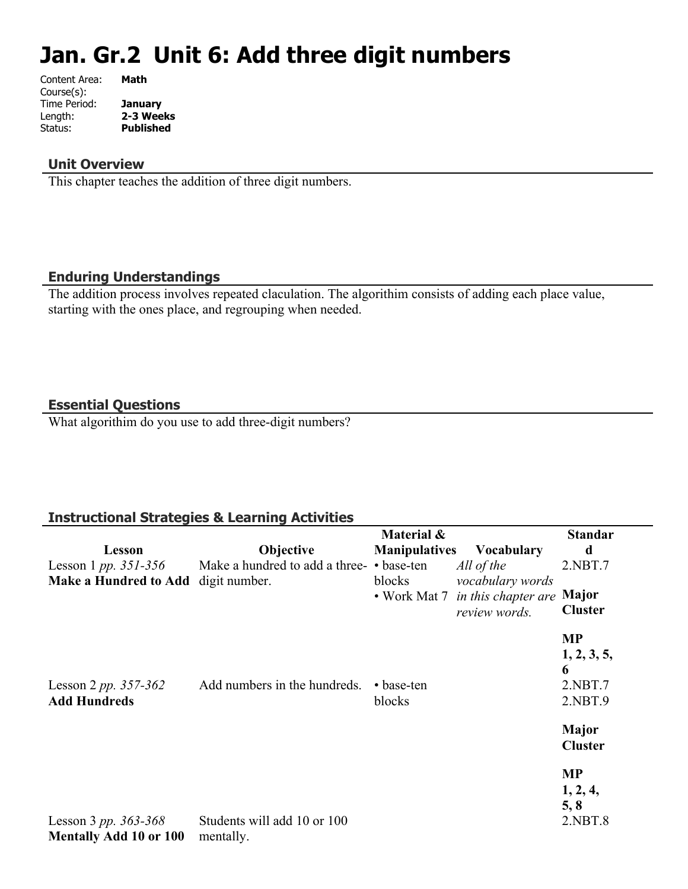# **Jan. Gr.2 Unit 6: Add three digit numbers**

| Content Area: | Math             |
|---------------|------------------|
| Course(s):    |                  |
| Time Period:  | <b>January</b>   |
| Length:       | 2-3 Weeks        |
| Status:       | <b>Published</b> |
|               |                  |

#### **Unit Overview**

This chapter teaches the addition of three digit numbers.

#### **Enduring Understandings**

The addition process involves repeated claculation. The algorithim consists of adding each place value, starting with the ones place, and regrouping when needed.

#### **Essential Questions**

What algorithim do you use to add three-digit numbers?

#### **Instructional Strategies & Learning Activities**

|                                                           |                                           | Material &           |                                                                       | <b>Standar</b>                |
|-----------------------------------------------------------|-------------------------------------------|----------------------|-----------------------------------------------------------------------|-------------------------------|
| <b>Lesson</b>                                             | Objective                                 | <b>Manipulatives</b> | <b>Vocabulary</b>                                                     | d                             |
| Lesson 1 <i>pp.</i> $351 - 356$                           | Make a hundred to add a three- • base-ten |                      | All of the                                                            | 2.NBT.7                       |
| <b>Make a Hundred to Add</b>                              | digit number.                             | blocks               | vocabulary words<br>• Work Mat 7 in this chapter are<br>review words. | Major<br><b>Cluster</b>       |
|                                                           |                                           |                      |                                                                       | <b>MP</b><br>1, 2, 3, 5,<br>6 |
| Lesson 2 pp. $357-362$<br><b>Add Hundreds</b>             | Add numbers in the hundreds.              | • base-ten<br>blocks |                                                                       | 2.NBT.7<br>2.NBT.9            |
|                                                           |                                           |                      |                                                                       | Major<br><b>Cluster</b>       |
|                                                           |                                           |                      |                                                                       | <b>MP</b><br>1, 2, 4,<br>5, 8 |
| Lesson 3 pp. $363 - 368$<br><b>Mentally Add 10 or 100</b> | Students will add 10 or 100<br>mentally.  |                      |                                                                       | 2.NBT.8                       |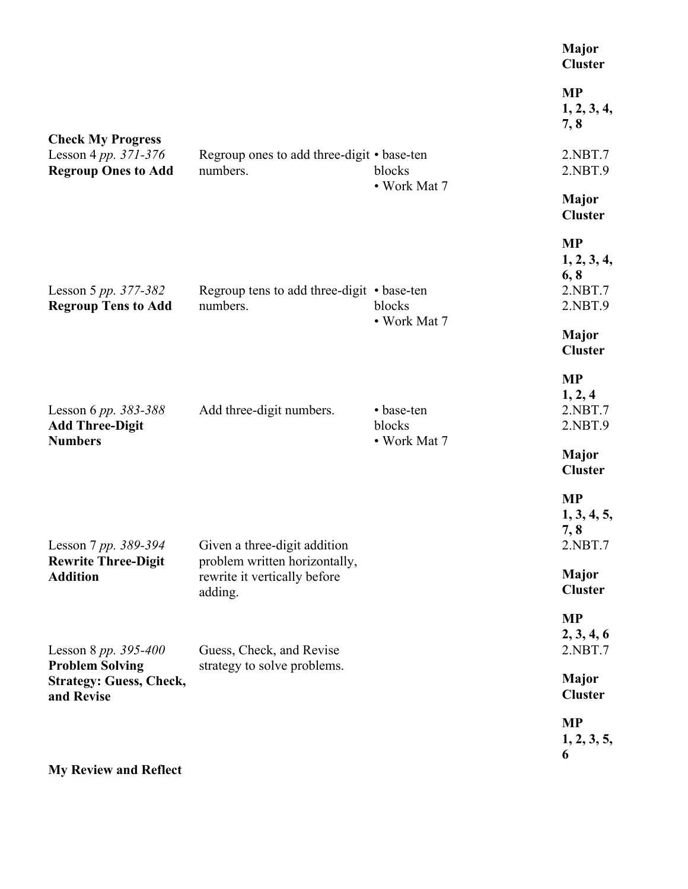|                                                         |                               | Major<br><b>Cluster</b>                                                                                                  |
|---------------------------------------------------------|-------------------------------|--------------------------------------------------------------------------------------------------------------------------|
|                                                         |                               | <b>MP</b><br>1, 2, 3, 4,<br>7, 8                                                                                         |
| numbers.                                                | blocks                        | 2.NBT.7<br>2.NBT.9                                                                                                       |
|                                                         |                               | <b>Major</b><br><b>Cluster</b>                                                                                           |
| numbers.                                                | blocks<br>• Work Mat 7        | <b>MP</b><br>1, 2, 3, 4,<br>6, 8<br>2.NBT.7<br>2.NBT.9                                                                   |
|                                                         |                               | <b>Major</b><br><b>Cluster</b>                                                                                           |
| Add three-digit numbers.                                | • base-ten<br>blocks          | <b>MP</b><br>1, 2, 4<br>2.NBT.7<br>2.NBT.9                                                                               |
|                                                         |                               | <b>Major</b><br><b>Cluster</b>                                                                                           |
| Lesson 7 pp. 389-394 Given a three-digit addition       |                               | <b>MP</b><br>1, 3, 4, 5,<br>7,8<br>2.NBT.7                                                                               |
| rewrite it vertically before<br>adding.                 |                               | <b>Major</b><br><b>Cluster</b>                                                                                           |
| Guess, Check, and Revise<br>strategy to solve problems. |                               | <b>MP</b><br>2, 3, 4, 6<br>2.NBT.7                                                                                       |
|                                                         |                               | <b>Major</b><br><b>Cluster</b>                                                                                           |
|                                                         |                               | <b>MP</b><br>1, 2, 3, 5,<br>6                                                                                            |
|                                                         | problem written horizontally, | Regroup ones to add three-digit • base-ten<br>• Work Mat 7<br>Regroup tens to add three-digit • base-ten<br>• Work Mat 7 |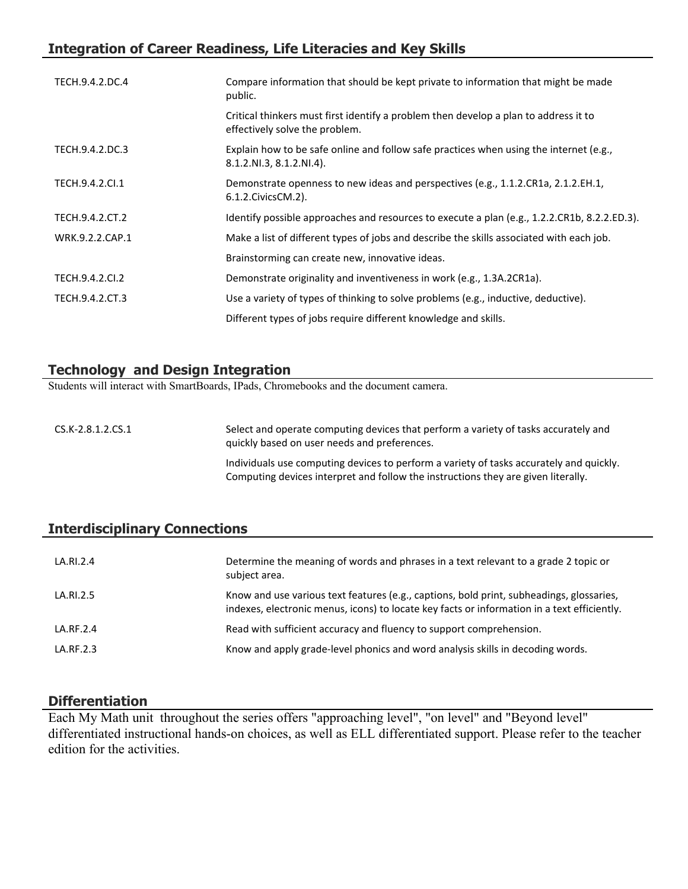## **Integration of Career Readiness, Life Literacies and Key Skills**

| TECH.9.4.2.DC.4 | Compare information that should be kept private to information that might be made<br>public.                           |
|-----------------|------------------------------------------------------------------------------------------------------------------------|
|                 | Critical thinkers must first identify a problem then develop a plan to address it to<br>effectively solve the problem. |
| TECH.9.4.2.DC.3 | Explain how to be safe online and follow safe practices when using the internet (e.g.,<br>8.1.2.NI.3, 8.1.2.NI.4).     |
| TECH.9.4.2.Cl.1 | Demonstrate openness to new ideas and perspectives (e.g., 1.1.2.CR1a, 2.1.2.EH.1,<br>$6.1.2$ . Civics CM. $2$ ).       |
| TECH.9.4.2.CT.2 | Identify possible approaches and resources to execute a plan (e.g., 1.2.2.CR1b, 8.2.2.ED.3).                           |
| WRK.9.2.2.CAP.1 | Make a list of different types of jobs and describe the skills associated with each job.                               |
|                 | Brainstorming can create new, innovative ideas.                                                                        |
| TECH.9.4.2.CI.2 | Demonstrate originality and inventiveness in work (e.g., 1.3A.2CR1a).                                                  |
| TECH.9.4.2.CT.3 | Use a variety of types of thinking to solve problems (e.g., inductive, deductive).                                     |
|                 | Different types of jobs require different knowledge and skills.                                                        |

#### **Technology and Design Integration**

Students will interact with SmartBoards, IPads, Chromebooks and the document camera.

CS.K-2.8.1.2.CS.1 Select and operate computing devices that perform a variety of tasks accurately and quickly based on user needs and preferences. Individuals use computing devices to perform a variety of tasks accurately and quickly. Computing devices interpret and follow the instructions they are given literally.

#### **Interdisciplinary Connections**

| LA.RI.2.4     | Determine the meaning of words and phrases in a text relevant to a grade 2 topic or<br>subject area.                                                                                    |
|---------------|-----------------------------------------------------------------------------------------------------------------------------------------------------------------------------------------|
| LA.RI.2.5     | Know and use various text features (e.g., captions, bold print, subheadings, glossaries,<br>indexes, electronic menus, icons) to locate key facts or information in a text efficiently. |
| $LA$ RF $2.4$ | Read with sufficient accuracy and fluency to support comprehension.                                                                                                                     |
| LA.RF.2.3     | Know and apply grade-level phonics and word analysis skills in decoding words.                                                                                                          |

#### **Differentiation**

Each My Math unit throughout the series offers "approaching level", "on level" and "Beyond level" differentiated instructional hands-on choices, as well as ELL differentiated support. Please refer to the teacher edition for the activities.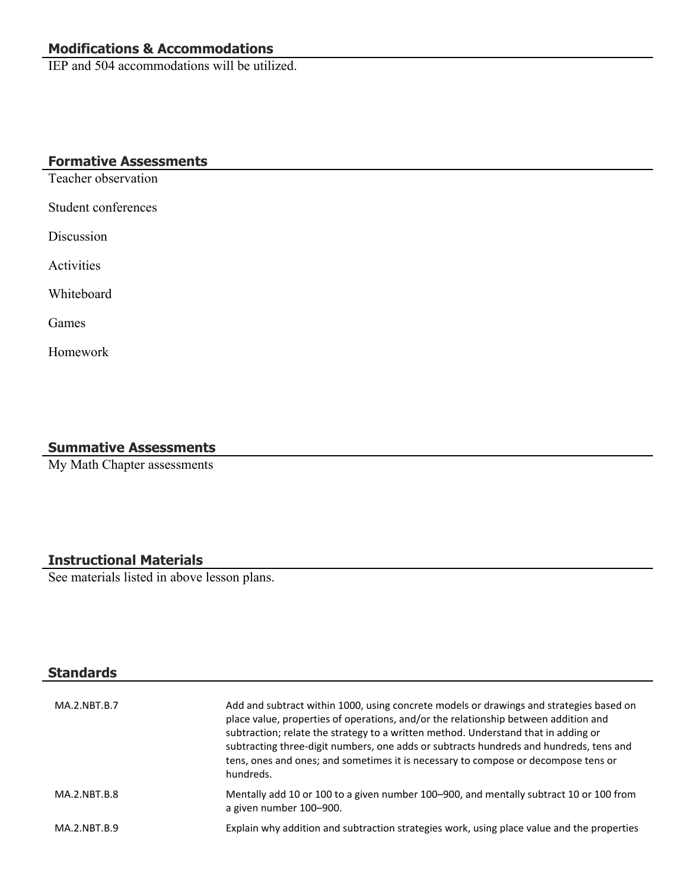# **Modifications & Accommodations**

IEP and 504 accommodations will be utilized.

### **Formative Assessments**

Teacher observation

Student conferences

Discussion

Activities

Whiteboard

Games

Homework

#### **Summative Assessments**

My Math Chapter assessments

#### **Instructional Materials**

See materials listed in above lesson plans.

| <b>Standards</b> |                                                                                                                                                                                                                                                                                                                                                                                                                                                                   |
|------------------|-------------------------------------------------------------------------------------------------------------------------------------------------------------------------------------------------------------------------------------------------------------------------------------------------------------------------------------------------------------------------------------------------------------------------------------------------------------------|
| MA.2.NBT.B.7     | Add and subtract within 1000, using concrete models or drawings and strategies based on<br>place value, properties of operations, and/or the relationship between addition and<br>subtraction; relate the strategy to a written method. Understand that in adding or<br>subtracting three-digit numbers, one adds or subtracts hundreds and hundreds, tens and<br>tens, ones and ones; and sometimes it is necessary to compose or decompose tens or<br>hundreds. |
| MA.2.NBT.B.8     | Mentally add 10 or 100 to a given number 100-900, and mentally subtract 10 or 100 from<br>a given number 100-900.                                                                                                                                                                                                                                                                                                                                                 |
| MA.2.NBT.B.9     | Explain why addition and subtraction strategies work, using place value and the properties                                                                                                                                                                                                                                                                                                                                                                        |